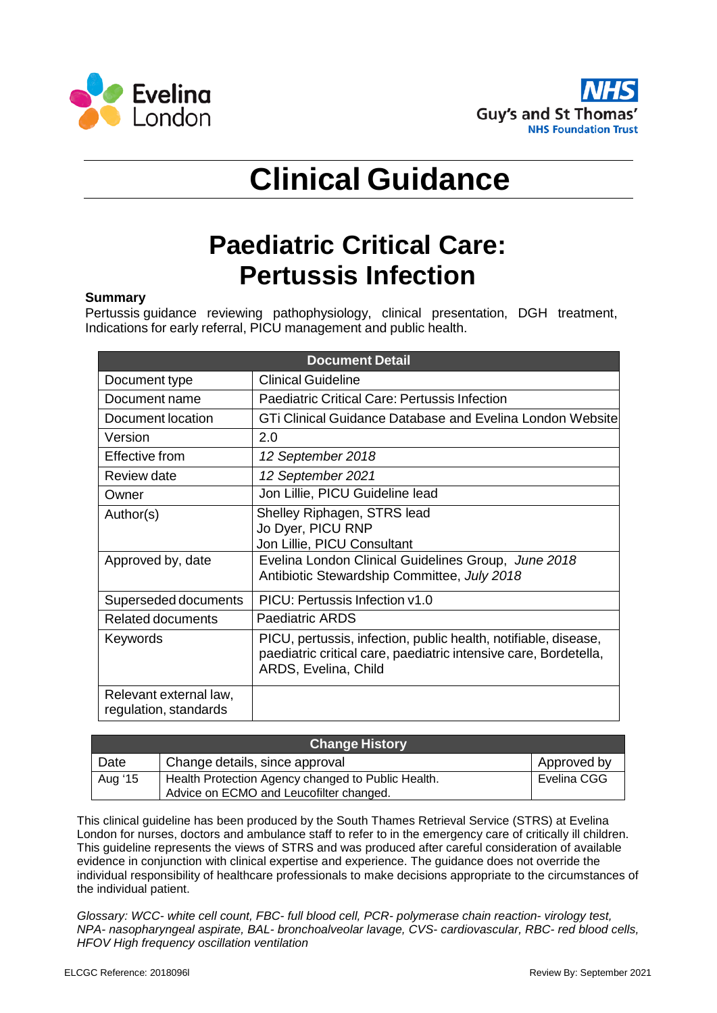



## **Clinical Guidance**

## **Paediatric Critical Care: Pertussis Infection**

## **Summary**

Pertussis guidance reviewing pathophysiology, clinical presentation, DGH treatment, Indications for early referral, PICU management and public health.

| <b>Document Detail</b>                          |                                                                                                                                                             |  |
|-------------------------------------------------|-------------------------------------------------------------------------------------------------------------------------------------------------------------|--|
| Document type                                   | <b>Clinical Guideline</b>                                                                                                                                   |  |
| Document name                                   | Paediatric Critical Care: Pertussis Infection                                                                                                               |  |
| Document location                               | GTi Clinical Guidance Database and Evelina London Website                                                                                                   |  |
| Version                                         | 2.0                                                                                                                                                         |  |
| Effective from                                  | 12 September 2018                                                                                                                                           |  |
| Review date                                     | 12 September 2021                                                                                                                                           |  |
| Owner                                           | Jon Lillie, PICU Guideline lead                                                                                                                             |  |
| Author(s)                                       | Shelley Riphagen, STRS lead<br>Jo Dyer, PICU RNP<br>Jon Lillie, PICU Consultant                                                                             |  |
| Approved by, date                               | Evelina London Clinical Guidelines Group, June 2018<br>Antibiotic Stewardship Committee, July 2018                                                          |  |
| Superseded documents                            | PICU: Pertussis Infection v1.0                                                                                                                              |  |
| <b>Related documents</b>                        | Paediatric ARDS                                                                                                                                             |  |
| Keywords                                        | PICU, pertussis, infection, public health, notifiable, disease,<br>paediatric critical care, paediatric intensive care, Bordetella,<br>ARDS, Evelina, Child |  |
| Relevant external law,<br>regulation, standards |                                                                                                                                                             |  |

| <b>Change History</b> |                                                    |             |  |
|-----------------------|----------------------------------------------------|-------------|--|
| Date                  | Change details, since approval                     | Approved by |  |
| Aug '15               | Health Protection Agency changed to Public Health. | Evelina CGG |  |
|                       | Advice on ECMO and Leucofilter changed.            |             |  |

This clinical guideline has been produced by the South Thames Retrieval Service (STRS) at Evelina London for nurses, doctors and ambulance staff to refer to in the emergency care of critically ill children. This guideline represents the views of STRS and was produced after careful consideration of available evidence in conjunction with clinical expertise and experience. The guidance does not override the individual responsibility of healthcare professionals to make decisions appropriate to the circumstances of the individual patient.

*Glossary: WCC- white cell count, FBC- full blood cell, PCR- polymerase chain reaction- virology test, NPA- nasopharyngeal aspirate, BAL- bronchoalveolar lavage, CVS- cardiovascular, RBC- red blood cells, HFOV High frequency oscillation ventilation*